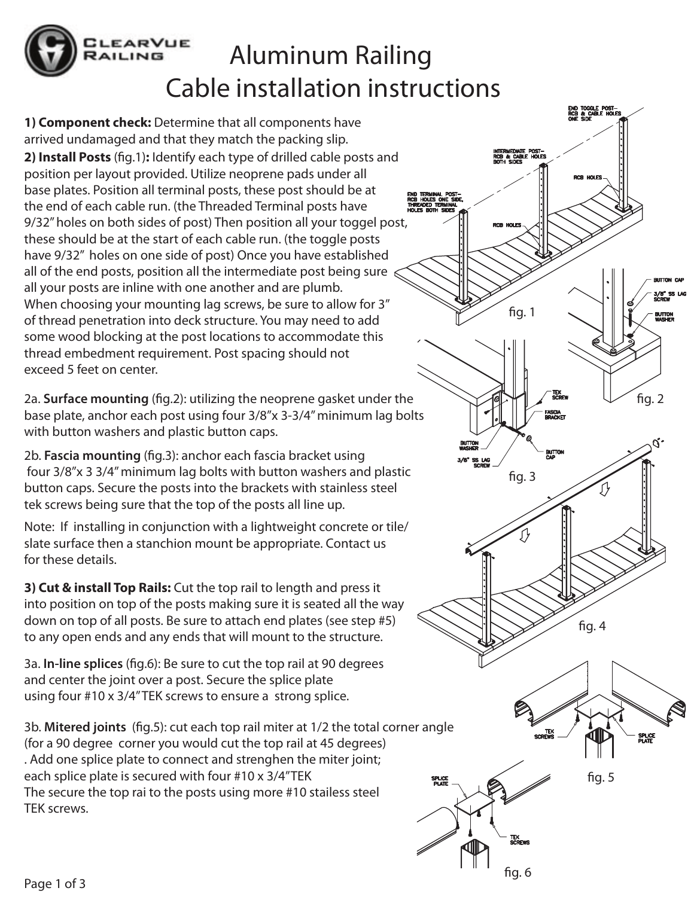

## Aluminum Railing Cable installation instructions

**1) Component check:** Determine that all components have arrived undamaged and that they match the packing slip. **2) Install Posts** (fig.1): Identify each type of drilled cable posts and position per layout provided. Utilize neoprene pads under all base plates. Position all terminal posts, these post should be at the end of each cable run. (the Threaded Terminal posts have 9/32" holes on both sides of post) Then position all your toggel post, these should be at the start of each cable run. (the toggle posts have 9/32" holes on one side of post) Once you have established all of the end posts, position all the intermediate post being sure all your posts are inline with one another and are plumb. When choosing your mounting lag screws, be sure to allow for 3" of thread penetration into deck structure. You may need to add some wood blocking at the post locations to accommodate this thread embedment requirement. Post spacing should not exceed 5 feet on center.

2a. **Surface mounting** (fig.2): utilizing the neoprene gasket under the base plate, anchor each post using four 3/8"x 3-3/4" minimum lag bolts with button washers and plastic button caps.

2b. **Fascia mounting** (fig.3): anchor each fascia bracket using four 3/8"x 3 3/4" minimum lag bolts with button washers and plastic button caps. Secure the posts into the brackets with stainless steel tek screws being sure that the top of the posts all line up.

Note: If installing in conjunction with a lightweight concrete or tile/ slate surface then a stanchion mount be appropriate. Contact us for these details.

**3) Cut & install Top Rails:** Cut the top rail to length and press it into position on top of the posts making sure it is seated all the way down on top of all posts. Be sure to attach end plates (see step #5) to any open ends and any ends that will mount to the structure.

3a. **In-line splices** (fig.6): Be sure to cut the top rail at 90 degrees and center the joint over a post. Secure the splice plate using four #10 x 3/4" TEK screws to ensure a strong splice.

3b. **Mitered joints** (fig.5): cut each top rail miter at 1/2 the total corner angle (for a 90 degree corner you would cut the top rail at 45 degrees) . Add one splice plate to connect and strenghen the miter joint; each splice plate is secured with four #10 x 3/4"TEK The secure the top rai to the posts using more #10 stailess steel TEK screws.

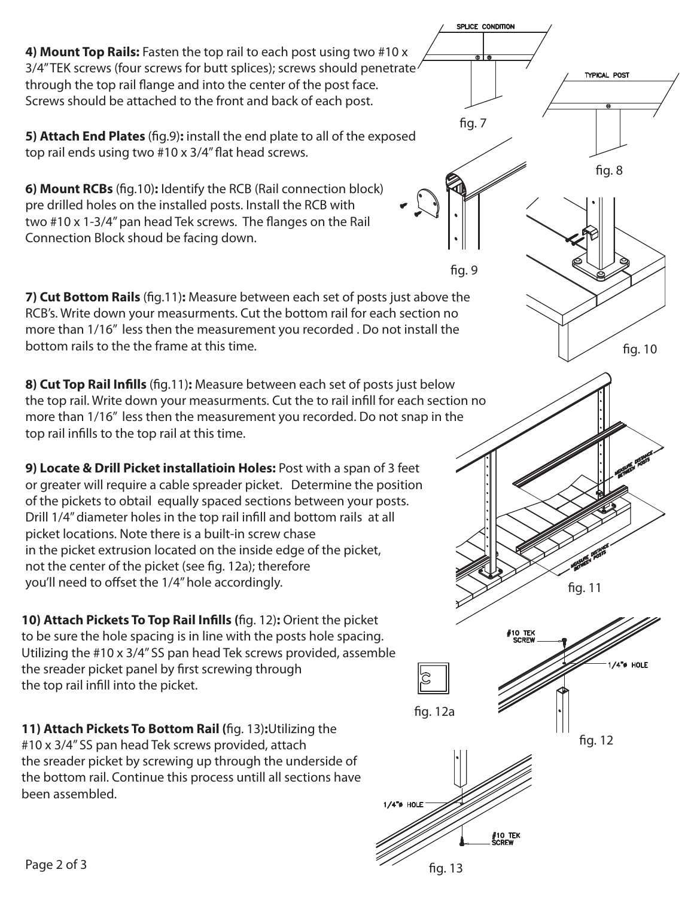**4) Mount Top Rails:** Fasten the top rail to each post using two #10 x 3/4" TEK screws (four screws for butt splices); screws should penetrate through the top rail flange and into the center of the post face. Screws should be attached to the front and back of each post.

**5) Attach End Plates** (fig.9): install the end plate to all of the exposed top rail ends using two  $#10 \times 3/4"$  flat head screws.

**6) Mount RCBs** (fig.10): Identify the RCB (Rail connection block) pre drilled holes on the installed posts. Install the RCB with two  $#10 \times 1-3/4"$  pan head Tek screws. The flanges on the Rail Connection Block shoud be facing down.

**7) Cut Bottom Rails** (fig.11): Measure between each set of posts just above the RCB's. Write down your measurments. Cut the bottom rail for each section no more than 1/16" less then the measurement you recorded . Do not install the bottom rails to the the frame at this time.

**8) Cut Top Rail Infills** (fig.11): Measure between each set of posts just below the top rail. Write down your measurments. Cut the to rail infill for each section no more than 1/16" less then the measurement you recorded. Do not snap in the top rail infills to the top rail at this time.

**9) Locate & Drill Picket installatioin Holes:** Post with a span of 3 feet or greater will require a cable spreader picket. Determine the position of the pickets to obtail equally spaced sections between your posts. Drill 1/4" diameter holes in the top rail infill and bottom rails at all picket locations. Note there is a built-in screw chase in the picket extrusion located on the inside edge of the picket, not the center of the picket (see fig. 12a); therefore you'll need to offset the 1/4" hole accordingly.

**10) Attach Pickets To Top Rail Infills (fig. 12): Orient the picket** to be sure the hole spacing is in line with the posts hole spacing. Utilizing the #10 x 3/4" SS pan head Tek screws provided, assemble the sreader picket panel by first screwing through the top rail infill into the picket.

**11) Attach Pickets To Bottom Rail (fig. 13): Utilizing the** #10 x 3/4" SS pan head Tek screws provided, attach the sreader picket by screwing up through the underside of the bottom rail. Continue this process untill all sections have been assembled.